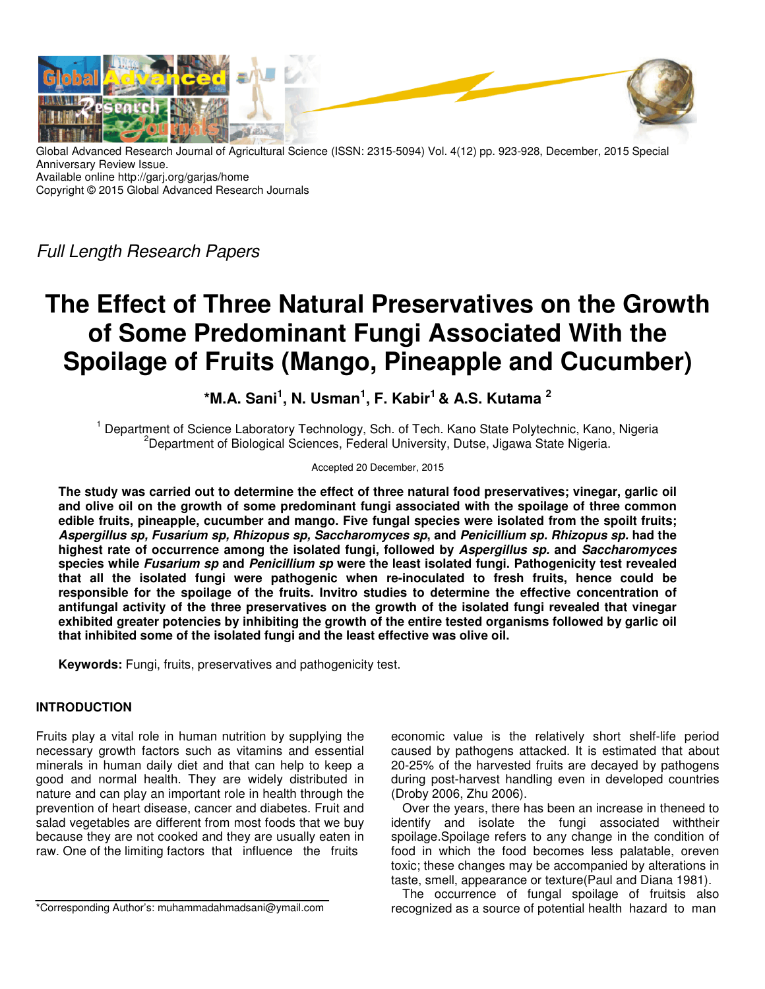

Global Advanced Research Journal of Agricultural Science (ISSN: 2315-5094) Vol. 4(12) pp. 923-928, December, 2015 Special Anniversary Review Issue. Available online http://garj.org/garjas/home Copyright © 2015 Global Advanced Research Journals

Full Length Research Papers

# **The Effect of Three Natural Preservatives on the Growth of Some Predominant Fungi Associated With the Spoilage of Fruits (Mango, Pineapple and Cucumber)**

**\*M.A. Sani<sup>1</sup> , N. Usman<sup>1</sup> , F. Kabir<sup>1</sup>& A.S. Kutama <sup>2</sup>**

<sup>1</sup> Department of Science Laboratory Technology, Sch. of Tech. Kano State Polytechnic, Kano, Nigeria <sup>2</sup>Department of Biological Sciences, Federal University, Dutse, Jigawa State Nigeria.

## Accepted 20 December, 2015

**The study was carried out to determine the effect of three natural food preservatives; vinegar, garlic oil and olive oil on the growth of some predominant fungi associated with the spoilage of three common edible fruits, pineapple, cucumber and mango. Five fungal species were isolated from the spoilt fruits; Aspergillus sp, Fusarium sp, Rhizopus sp, Saccharomyces sp, and Penicillium sp. Rhizopus sp. had the highest rate of occurrence among the isolated fungi, followed by Aspergillus sp. and Saccharomyces species while Fusarium sp and Penicillium sp were the least isolated fungi. Pathogenicity test revealed that all the isolated fungi were pathogenic when re-inoculated to fresh fruits, hence could be responsible for the spoilage of the fruits. Invitro studies to determine the effective concentration of antifungal activity of the three preservatives on the growth of the isolated fungi revealed that vinegar exhibited greater potencies by inhibiting the growth of the entire tested organisms followed by garlic oil that inhibited some of the isolated fungi and the least effective was olive oil.** 

**Keywords:** Fungi, fruits, preservatives and pathogenicity test.

# **INTRODUCTION**

Fruits play a vital role in human nutrition by supplying the necessary growth factors such as vitamins and essential minerals in human daily diet and that can help to keep a good and normal health. They are widely distributed in nature and can play an important role in health through the prevention of heart disease, cancer and diabetes. Fruit and salad vegetables are different from most foods that we buy because they are not cooked and they are usually eaten in raw. One of the limiting factors that influence the fruits

\*Corresponding Author's: muhammadahmadsani@ymail.com

economic value is the relatively short shelf-life period caused by pathogens attacked. It is estimated that about 20-25% of the harvested fruits are decayed by pathogens during post-harvest handling even in developed countries (Droby 2006, Zhu 2006).

Over the years, there has been an increase in theneed to identify and isolate the fungi associated withtheir spoilage.Spoilage refers to any change in the condition of food in which the food becomes less palatable, oreven toxic; these changes may be accompanied by alterations in taste, smell, appearance or texture(Paul and Diana 1981).

The occurrence of fungal spoilage of fruitsis also recognized as a source of potential health hazard to man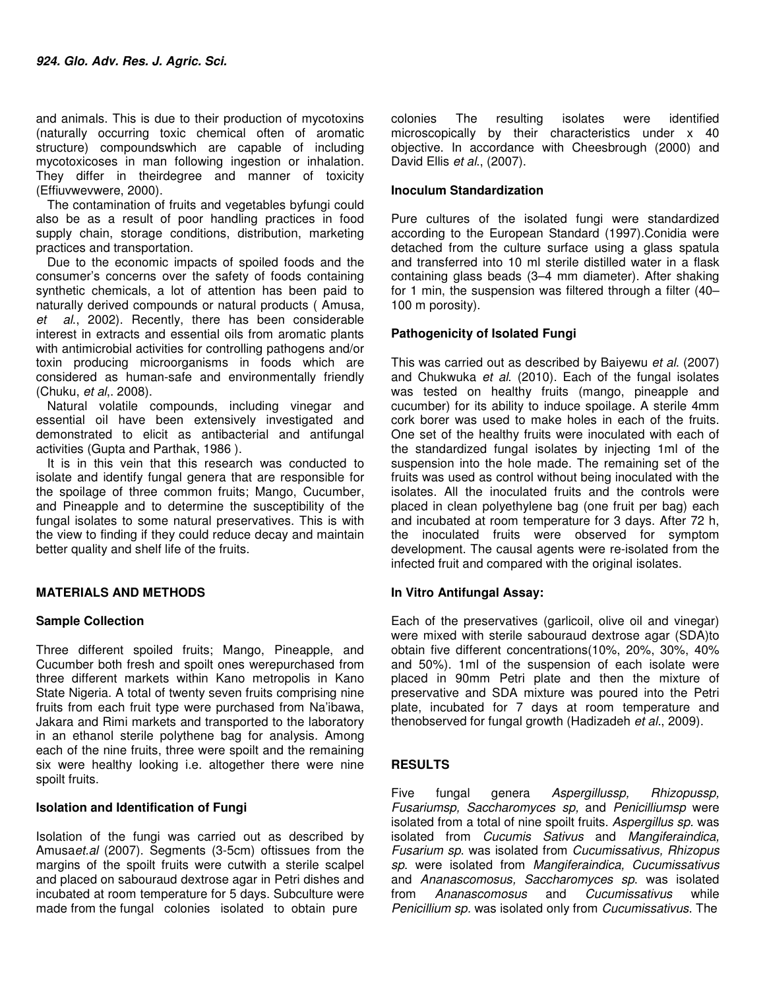and animals. This is due to their production of mycotoxins (naturally occurring toxic chemical often of aromatic structure) compoundswhich are capable of including mycotoxicoses in man following ingestion or inhalation. They differ in theirdegree and manner of toxicity (Effiuvwevwere, 2000).

The contamination of fruits and vegetables byfungi could also be as a result of poor handling practices in food supply chain, storage conditions, distribution, marketing practices and transportation.

Due to the economic impacts of spoiled foods and the consumer's concerns over the safety of foods containing synthetic chemicals, a lot of attention has been paid to naturally derived compounds or natural products ( Amusa, et al., 2002). Recently, there has been considerable interest in extracts and essential oils from aromatic plants with antimicrobial activities for controlling pathogens and/or toxin producing microorganisms in foods which are considered as human-safe and environmentally friendly (Chuku, et al,. 2008).

Natural volatile compounds, including vinegar and essential oil have been extensively investigated and demonstrated to elicit as antibacterial and antifungal activities (Gupta and Parthak, 1986 ).

It is in this vein that this research was conducted to isolate and identify fungal genera that are responsible for the spoilage of three common fruits; Mango, Cucumber, and Pineapple and to determine the susceptibility of the fungal isolates to some natural preservatives. This is with the view to finding if they could reduce decay and maintain better quality and shelf life of the fruits.

## **MATERIALS AND METHODS**

## **Sample Collection**

Three different spoiled fruits; Mango, Pineapple, and Cucumber both fresh and spoilt ones werepurchased from three different markets within Kano metropolis in Kano State Nigeria. A total of twenty seven fruits comprising nine fruits from each fruit type were purchased from Na'ibawa, Jakara and Rimi markets and transported to the laboratory in an ethanol sterile polythene bag for analysis. Among each of the nine fruits, three were spoilt and the remaining six were healthy looking i.e. altogether there were nine spoilt fruits.

## **Isolation and Identification of Fungi**

Isolation of the fungi was carried out as described by Amusaet.al (2007). Segments (3-5cm) oftissues from the margins of the spoilt fruits were cutwith a sterile scalpel and placed on sabouraud dextrose agar in Petri dishes and incubated at room temperature for 5 days. Subculture were made from the fungal colonies isolated to obtain pure

colonies The resulting isolates were identified microscopically by their characteristics under x 40 objective. In accordance with Cheesbrough (2000) and David Ellis et al., (2007).

### **Inoculum Standardization**

Pure cultures of the isolated fungi were standardized according to the European Standard (1997).Conidia were detached from the culture surface using a glass spatula and transferred into 10 ml sterile distilled water in a flask containing glass beads (3–4 mm diameter). After shaking for 1 min, the suspension was filtered through a filter (40– 100 m porosity).

## **Pathogenicity of Isolated Fungi**

This was carried out as described by Baiyewu et al. (2007) and Chukwuka et al. (2010). Each of the fungal isolates was tested on healthy fruits (mango, pineapple and cucumber) for its ability to induce spoilage. A sterile 4mm cork borer was used to make holes in each of the fruits. One set of the healthy fruits were inoculated with each of the standardized fungal isolates by injecting 1ml of the suspension into the hole made. The remaining set of the fruits was used as control without being inoculated with the isolates. All the inoculated fruits and the controls were placed in clean polyethylene bag (one fruit per bag) each and incubated at room temperature for 3 days. After 72 h, the inoculated fruits were observed for symptom development. The causal agents were re-isolated from the infected fruit and compared with the original isolates.

#### **In Vitro Antifungal Assay:**

Each of the preservatives (garlicoil, olive oil and vinegar) were mixed with sterile sabouraud dextrose agar (SDA)to obtain five different concentrations(10%, 20%, 30%, 40% and 50%). 1ml of the suspension of each isolate were placed in 90mm Petri plate and then the mixture of preservative and SDA mixture was poured into the Petri plate, incubated for 7 days at room temperature and thenobserved for fungal growth (Hadizadeh et al., 2009).

## **RESULTS**

Five fungal genera Aspergillussp, Rhizopussp, Fusariumsp, Saccharomyces sp, and Penicilliumsp were isolated from a total of nine spoilt fruits. Aspergillus sp. was isolated from Cucumis Sativus and Mangiferaindica, Fusarium sp. was isolated from Cucumissativus, Rhizopus sp. were isolated from Mangiferaindica, Cucumissativus and Ananascomosus, Saccharomyces sp. was isolated from Ananascomosus and Cucumissativus while Penicillium sp. was isolated only from Cucumissativus. The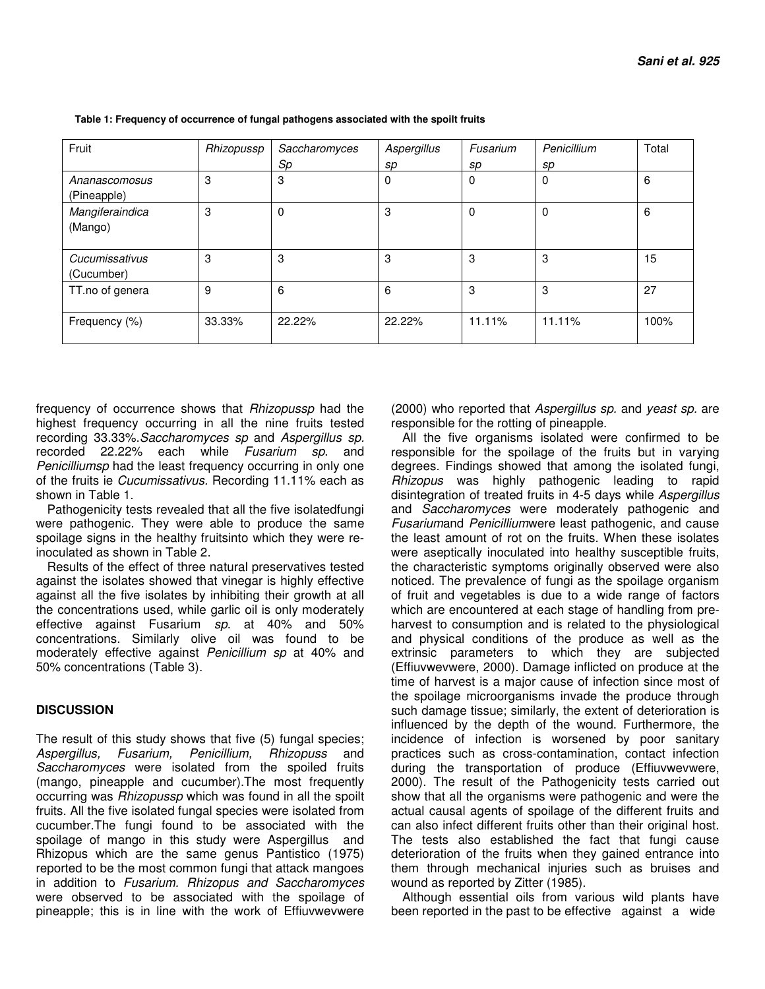| Fruit           | Rhizopussp | Saccharomyces | Aspergillus | Fusarium | Penicillium | Total |
|-----------------|------------|---------------|-------------|----------|-------------|-------|
|                 |            | Sp            | sp          | sp       | sp          |       |
| Ananascomosus   | 3          | 3             | 0           | 0        | 0           | 6     |
| (Pineapple)     |            |               |             |          |             |       |
| Mangiferaindica | 3          | $\Omega$      | 3           | 0        | 0           | 6     |
| (Mango)         |            |               |             |          |             |       |
|                 |            |               |             |          |             |       |
| Cucumissativus  | 3          | 3             | 3           | 3        | 3           | 15    |
| (Cucumber)      |            |               |             |          |             |       |
| TT.no of genera | 9          | 6             | 6           | 3        | 3           | 27    |
|                 |            |               |             |          |             |       |
| Frequency (%)   | 33.33%     | 22.22%        | 22.22%      | 11.11%   | 11.11%      | 100%  |
|                 |            |               |             |          |             |       |

 **Table 1: Frequency of occurrence of fungal pathogens associated with the spoilt fruits** 

frequency of occurrence shows that Rhizopussp had the highest frequency occurring in all the nine fruits tested recording 33.33%.Saccharomyces sp and Aspergillus sp. recorded 22.22% each while Fusarium sp. and Penicilliumsp had the least frequency occurring in only one of the fruits ie Cucumissativus. Recording 11.11% each as shown in Table 1.

Pathogenicity tests revealed that all the five isolatedfungi were pathogenic. They were able to produce the same spoilage signs in the healthy fruitsinto which they were reinoculated as shown in Table 2.

Results of the effect of three natural preservatives tested against the isolates showed that vinegar is highly effective against all the five isolates by inhibiting their growth at all the concentrations used, while garlic oil is only moderately effective against Fusarium sp. at 40% and 50% concentrations. Similarly olive oil was found to be moderately effective against Penicillium sp at 40% and 50% concentrations (Table 3).

# **DISCUSSION**

The result of this study shows that five (5) fungal species;<br>Aspergillus, Fusarium, Penicillium, Rhizopuss and Aspergillus, Fusarium, Penicillium, Saccharomyces were isolated from the spoiled fruits (mango, pineapple and cucumber).The most frequently occurring was Rhizopussp which was found in all the spoilt fruits. All the five isolated fungal species were isolated from cucumber.The fungi found to be associated with the spoilage of mango in this study were Aspergillus and Rhizopus which are the same genus Pantistico (1975) reported to be the most common fungi that attack mangoes in addition to Fusarium. Rhizopus and Saccharomyces were observed to be associated with the spoilage of pineapple; this is in line with the work of Effiuvwevwere

(2000) who reported that Aspergillus sp. and yeast sp. are responsible for the rotting of pineapple.

All the five organisms isolated were confirmed to be responsible for the spoilage of the fruits but in varying degrees. Findings showed that among the isolated fungi, Rhizopus was highly pathogenic leading to rapid disintegration of treated fruits in 4-5 days while Aspergillus and Saccharomyces were moderately pathogenic and Fusariumand Penicilliumwere least pathogenic, and cause the least amount of rot on the fruits. When these isolates were aseptically inoculated into healthy susceptible fruits, the characteristic symptoms originally observed were also noticed. The prevalence of fungi as the spoilage organism of fruit and vegetables is due to a wide range of factors which are encountered at each stage of handling from preharvest to consumption and is related to the physiological and physical conditions of the produce as well as the extrinsic parameters to which they are subjected (Effiuvwevwere, 2000). Damage inflicted on produce at the time of harvest is a major cause of infection since most of the spoilage microorganisms invade the produce through such damage tissue; similarly, the extent of deterioration is influenced by the depth of the wound. Furthermore, the incidence of infection is worsened by poor sanitary practices such as cross-contamination, contact infection during the transportation of produce (Effiuvwevwere, 2000). The result of the Pathogenicity tests carried out show that all the organisms were pathogenic and were the actual causal agents of spoilage of the different fruits and can also infect different fruits other than their original host. The tests also established the fact that fungi cause deterioration of the fruits when they gained entrance into them through mechanical injuries such as bruises and wound as reported by Zitter (1985).

Although essential oils from various wild plants have been reported in the past to be effective against a wide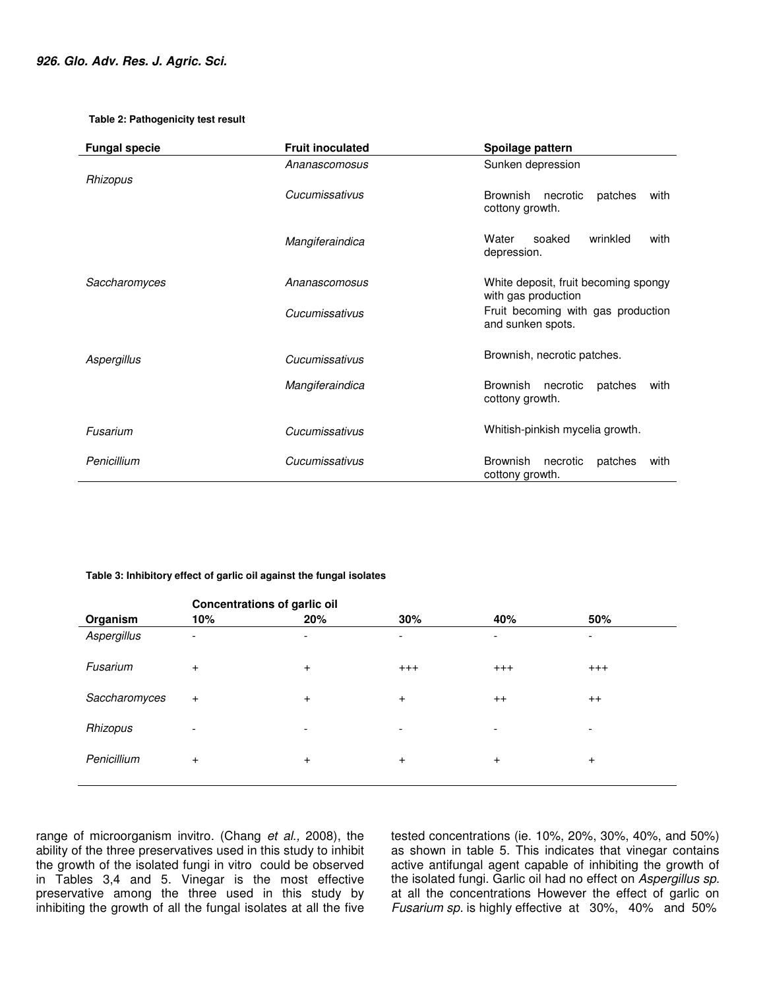#### **Table 2: Pathogenicity test result**

| <b>Fungal specie</b> | <b>Fruit inoculated</b> | Spoilage pattern                                                                                                       |  |  |
|----------------------|-------------------------|------------------------------------------------------------------------------------------------------------------------|--|--|
|                      | Ananascomosus           | Sunken depression                                                                                                      |  |  |
| Rhizopus             | Cucumissativus          | <b>Brownish</b><br>necrotic<br>patches<br>with<br>cottony growth.                                                      |  |  |
|                      | Mangiferaindica         | wrinkled<br>Water<br>soaked<br>with<br>depression.                                                                     |  |  |
| Saccharomyces        | Ananascomosus           | White deposit, fruit becoming spongy<br>with gas production<br>Fruit becoming with gas production<br>and sunken spots. |  |  |
|                      | Cucumissativus          |                                                                                                                        |  |  |
| Aspergillus          | Cucumissativus          | Brownish, necrotic patches.                                                                                            |  |  |
|                      | Mangiferaindica         | <b>Brownish</b><br>necrotic<br>patches<br>with<br>cottony growth.                                                      |  |  |
| Fusarium             | Cucumissativus          | Whitish-pinkish mycelia growth.                                                                                        |  |  |
| Penicillium          | Cucumissativus          | <b>Brownish</b><br>necrotic<br>patches<br>with<br>cottony growth.                                                      |  |  |

#### **Table 3: Inhibitory effect of garlic oil against the fungal isolates**

|               | <b>Concentrations of garlic oil</b> |                          |                          |                          |                          |
|---------------|-------------------------------------|--------------------------|--------------------------|--------------------------|--------------------------|
| Organism      | 10%                                 | 20%                      | 30%                      | 40%                      | 50%                      |
| Aspergillus   | $\overline{\phantom{a}}$            | -                        | $\overline{\phantom{0}}$ | ٠                        | $\overline{\phantom{a}}$ |
| Fusarium      | $+$                                 | $\ddot{}$                | $+++$                    | $^{+++}$                 | $^{+++}$                 |
| Saccharomyces | $+$                                 | $\ddot{}$                | $\ddot{}$                | $^{++}$                  | $^{++}$                  |
| Rhizopus      | ۰                                   | $\overline{\phantom{a}}$ | $\overline{\phantom{0}}$ | $\overline{\phantom{0}}$ | $\overline{\phantom{a}}$ |
| Penicillium   | $\ddot{}$                           | $\ddot{}$                | $\ddot{}$                | $\ddot{}$                | $\ddot{}$                |
|               |                                     |                          |                          |                          |                          |

range of microorganism invitro. (Chang et al., 2008), the ability of the three preservatives used in this study to inhibit the growth of the isolated fungi in vitro could be observed in Tables 3,4 and 5. Vinegar is the most effective preservative among the three used in this study by inhibiting the growth of all the fungal isolates at all the five tested concentrations (ie. 10%, 20%, 30%, 40%, and 50%) as shown in table 5. This indicates that vinegar contains active antifungal agent capable of inhibiting the growth of the isolated fungi. Garlic oil had no effect on Aspergillus sp. at all the concentrations However the effect of garlic on Fusarium sp. is highly effective at 30%, 40% and 50%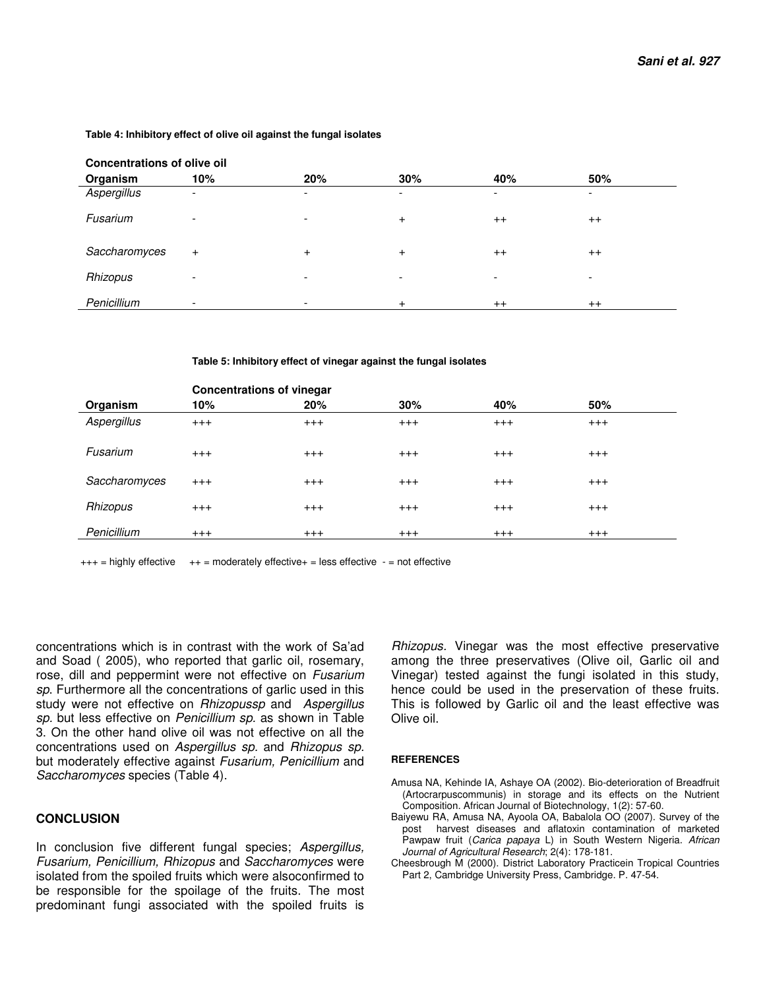#### **Table 4: Inhibitory effect of olive oil against the fungal isolates**

| <b>Concentrations of olive oil</b> |     |                          |                          |                          |                          |  |
|------------------------------------|-----|--------------------------|--------------------------|--------------------------|--------------------------|--|
| Organism                           | 10% | 20%                      | 30%                      | 40%                      | 50%                      |  |
| Aspergillus                        | -   | -                        | $\overline{\phantom{0}}$ | $\overline{\phantom{a}}$ | -                        |  |
| Fusarium                           | -   | $\overline{\phantom{a}}$ | $\ddot{}$                | $^{++}$                  | $^{++}$                  |  |
| Saccharomyces                      | $+$ | $+$                      | $\ddot{}$                | $^{++}$                  | $^{++}$                  |  |
| Rhizopus                           | -   | $\overline{\phantom{0}}$ | $\overline{\phantom{a}}$ | $\overline{\phantom{a}}$ | $\overline{\phantom{a}}$ |  |
| Penicillium                        |     |                          | $\pm$                    | $^{++}$                  | $^{++}$                  |  |

**Table 5: Inhibitory effect of vinegar against the fungal isolates** 

|               | <b>Concentrations of vinegar</b> |       |       |          |          |
|---------------|----------------------------------|-------|-------|----------|----------|
| Organism      | 10%                              | 20%   | 30%   | 40%      | 50%      |
| Aspergillus   | $+++$                            | $+++$ | $+++$ | $+++$    | $^{+++}$ |
| Fusarium      | $+++$                            | $+++$ | $+++$ | $+++$    | $^{+++}$ |
| Saccharomyces | $+++$                            | $+++$ | $+++$ | $+++$    | $+++$    |
| Rhizopus      | $+++$                            | $+++$ | $+++$ | $+++$    | $^{+++}$ |
| Penicillium   | $^{+++}$                         | $+++$ | $+++$ | $^{+++}$ | $^{+++}$ |

 $+++$  = highly effective  $++$  = moderately effective + = less effective  $-$  = not effective

concentrations which is in contrast with the work of Sa'ad and Soad ( 2005), who reported that garlic oil, rosemary, rose, dill and peppermint were not effective on Fusarium sp. Furthermore all the concentrations of garlic used in this study were not effective on Rhizopussp and Aspergillus sp. but less effective on Penicillium sp. as shown in Table 3. On the other hand olive oil was not effective on all the concentrations used on Aspergillus sp. and Rhizopus sp. but moderately effective against Fusarium, Penicillium and Saccharomyces species (Table 4).

### **CONCLUSION**

In conclusion five different fungal species; Aspergillus, Fusarium, Penicillium, Rhizopus and Saccharomyces were isolated from the spoiled fruits which were alsoconfirmed to be responsible for the spoilage of the fruits. The most predominant fungi associated with the spoiled fruits is

Rhizopus. Vinegar was the most effective preservative among the three preservatives (Olive oil, Garlic oil and Vinegar) tested against the fungi isolated in this study, hence could be used in the preservation of these fruits. This is followed by Garlic oil and the least effective was Olive oil.

#### **REFERENCES**

- Amusa NA, Kehinde IA, Ashaye OA (2002). Bio-deterioration of Breadfruit (Artocrarpuscommunis) in storage and its effects on the Nutrient Composition. African Journal of Biotechnology, 1(2): 57-60.
- Baiyewu RA, Amusa NA, Ayoola OA, Babalola OO (2007). Survey of the post harvest diseases and aflatoxin contamination of marketed Pawpaw fruit (Carica papaya L) in South Western Nigeria. African Journal of Agricultural Research; 2(4): 178-181.
- Cheesbrough M (2000). District Laboratory Practicein Tropical Countries Part 2, Cambridge University Press, Cambridge. P. 47-54.